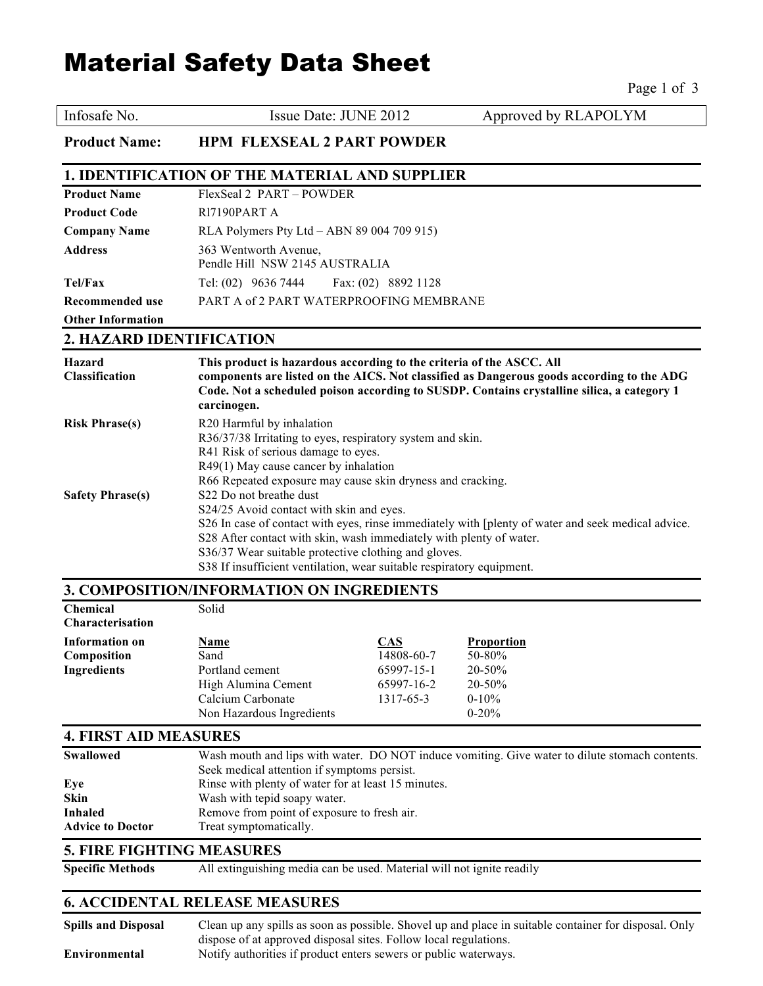# Material Safety Data Sheet

 $P_{909}$  1 of 3

|                                                                              |                                                                                                                                                                                                                                                                                                                                                                                   |                                                                   | $I$ age 1 01 J                                                                                                                                                                          |
|------------------------------------------------------------------------------|-----------------------------------------------------------------------------------------------------------------------------------------------------------------------------------------------------------------------------------------------------------------------------------------------------------------------------------------------------------------------------------|-------------------------------------------------------------------|-----------------------------------------------------------------------------------------------------------------------------------------------------------------------------------------|
| Infosafe No.                                                                 | Issue Date: JUNE 2012                                                                                                                                                                                                                                                                                                                                                             |                                                                   | Approved by RLAPOLYM                                                                                                                                                                    |
| <b>Product Name:</b>                                                         | <b>HPM FLEXSEAL 2 PART POWDER</b>                                                                                                                                                                                                                                                                                                                                                 |                                                                   |                                                                                                                                                                                         |
|                                                                              | <b>1. IDENTIFICATION OF THE MATERIAL AND SUPPLIER</b>                                                                                                                                                                                                                                                                                                                             |                                                                   |                                                                                                                                                                                         |
| <b>Product Name</b>                                                          | FlexSeal 2 PART - POWDER                                                                                                                                                                                                                                                                                                                                                          |                                                                   |                                                                                                                                                                                         |
| <b>Product Code</b>                                                          | RI7190PART A                                                                                                                                                                                                                                                                                                                                                                      |                                                                   |                                                                                                                                                                                         |
| <b>Company Name</b>                                                          | RLA Polymers Pty Ltd - ABN 89 004 709 915)                                                                                                                                                                                                                                                                                                                                        |                                                                   |                                                                                                                                                                                         |
| <b>Address</b>                                                               | 363 Wentworth Avenue,<br>Pendle Hill NSW 2145 AUSTRALIA                                                                                                                                                                                                                                                                                                                           |                                                                   |                                                                                                                                                                                         |
| Tel/Fax                                                                      | Tel: (02) 9636 7444 Fax: (02) 8892 1128                                                                                                                                                                                                                                                                                                                                           |                                                                   |                                                                                                                                                                                         |
| <b>Recommended use</b>                                                       | PART A of 2 PART WATERPROOFING MEMBRANE                                                                                                                                                                                                                                                                                                                                           |                                                                   |                                                                                                                                                                                         |
| <b>Other Information</b>                                                     |                                                                                                                                                                                                                                                                                                                                                                                   |                                                                   |                                                                                                                                                                                         |
| 2. HAZARD IDENTIFICATION                                                     |                                                                                                                                                                                                                                                                                                                                                                                   |                                                                   |                                                                                                                                                                                         |
| <b>Hazard</b><br><b>Classification</b>                                       | This product is hazardous according to the criteria of the ASCC. All<br>carcinogen.                                                                                                                                                                                                                                                                                               |                                                                   | components are listed on the AICS. Not classified as Dangerous goods according to the ADG<br>Code. Not a scheduled poison according to SUSDP. Contains crystalline silica, a category 1 |
| <b>Risk Phrase(s)</b>                                                        | R20 Harmful by inhalation<br>R36/37/38 Irritating to eyes, respiratory system and skin.<br>R41 Risk of serious damage to eyes.<br>R49(1) May cause cancer by inhalation<br>R66 Repeated exposure may cause skin dryness and cracking.                                                                                                                                             |                                                                   |                                                                                                                                                                                         |
| <b>Safety Phrase(s)</b>                                                      | S22 Do not breathe dust<br>S24/25 Avoid contact with skin and eyes.<br>S26 In case of contact with eyes, rinse immediately with [plenty of water and seek medical advice.<br>S28 After contact with skin, wash immediately with plenty of water.<br>S36/37 Wear suitable protective clothing and gloves.<br>S38 If insufficient ventilation, wear suitable respiratory equipment. |                                                                   |                                                                                                                                                                                         |
|                                                                              | 3. COMPOSITION/INFORMATION ON INGREDIENTS                                                                                                                                                                                                                                                                                                                                         |                                                                   |                                                                                                                                                                                         |
| Chemical<br><b>Characterisation</b>                                          | Solid                                                                                                                                                                                                                                                                                                                                                                             |                                                                   |                                                                                                                                                                                         |
| <b>Information on</b><br>Composition<br><b>Ingredients</b>                   | Name<br>Sand<br>Portland cement<br>High Alumina Cement<br>Calcium Carbonate<br>Non Hazardous Ingredients                                                                                                                                                                                                                                                                          | <b>CAS</b><br>14808-60-7<br>65997-15-1<br>65997-16-2<br>1317-65-3 | Proportion<br>50-80%<br>20-50%<br>20-50%<br>$0-10%$<br>$0 - 20%$                                                                                                                        |
| <b>4. FIRST AID MEASURES</b>                                                 |                                                                                                                                                                                                                                                                                                                                                                                   |                                                                   |                                                                                                                                                                                         |
| Swallowed<br>Eye<br><b>Skin</b><br><b>Inhaled</b><br><b>Advice to Doctor</b> | Seek medical attention if symptoms persist.<br>Rinse with plenty of water for at least 15 minutes.<br>Wash with tepid soapy water.<br>Remove from point of exposure to fresh air.<br>Treat symptomatically.                                                                                                                                                                       |                                                                   | Wash mouth and lips with water. DO NOT induce vomiting. Give water to dilute stomach contents.                                                                                          |
| <b>5. FIRE FIGHTING MEASURES</b>                                             |                                                                                                                                                                                                                                                                                                                                                                                   |                                                                   |                                                                                                                                                                                         |
| <b>Specific Methods</b>                                                      | All extinguishing media can be used. Material will not ignite readily                                                                                                                                                                                                                                                                                                             |                                                                   |                                                                                                                                                                                         |
|                                                                              | <b>6. ACCIDENTAL RELEASE MEASURES</b>                                                                                                                                                                                                                                                                                                                                             |                                                                   |                                                                                                                                                                                         |

| <b>Spills and Disposal</b> | Clean up any spills as soon as possible. Shovel up and place in suitable container for disposal. Only |
|----------------------------|-------------------------------------------------------------------------------------------------------|
|                            | dispose of at approved disposal sites. Follow local regulations.                                      |
| Environmental              | Notify authorities if product enters sewers or public waterways.                                      |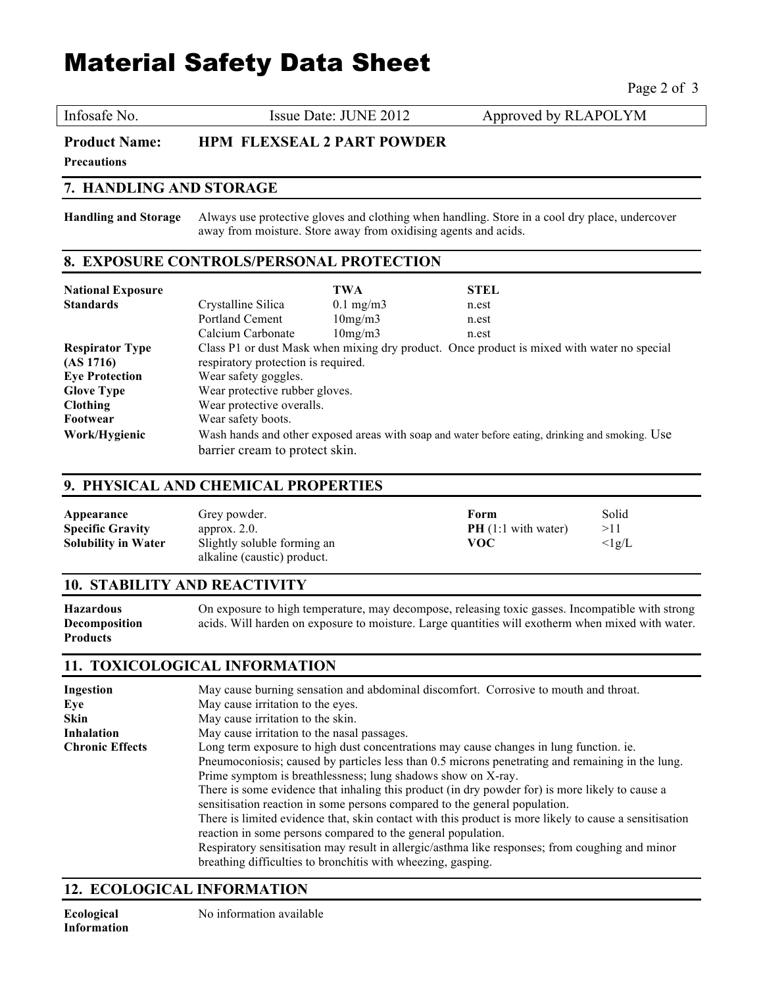## Material Safety Data Sheet

Page 2 of 3

Infosafe No. **ISSUE Date: JUNE 2012** Approved by RLAPOLYM

**Product Name: HPM FLEXSEAL 2 PART POWDER**

**Precautions**

#### **7. HANDLING AND STORAGE**

**Handling and Storage** Always use protective gloves and clothing when handling. Store in a cool dry place, undercover away from moisture. Store away from oxidising agents and acids.

#### **8. EXPOSURE CONTROLS/PERSONAL PROTECTION**

| <b>National Exposure</b> |                                     | <b>TWA</b>         | <b>STEL</b>                                                                                     |
|--------------------------|-------------------------------------|--------------------|-------------------------------------------------------------------------------------------------|
| <b>Standards</b>         | Crystalline Silica                  | $0.1 \text{ mg/m}$ | n.est                                                                                           |
|                          | Portland Cement                     | 10mg/m3            | n.est                                                                                           |
|                          | Calcium Carbonate                   | 10mg/m3            | n.est                                                                                           |
| <b>Respirator Type</b>   |                                     |                    | Class P1 or dust Mask when mixing dry product. Once product is mixed with water no special      |
| (AS 1716)                | respiratory protection is required. |                    |                                                                                                 |
| <b>Eye Protection</b>    | Wear safety goggles.                |                    |                                                                                                 |
| <b>Glove Type</b>        | Wear protective rubber gloves.      |                    |                                                                                                 |
| <b>Clothing</b>          | Wear protective overalls.           |                    |                                                                                                 |
| Footwear                 | Wear safety boots.                  |                    |                                                                                                 |
| Work/Hygienic            |                                     |                    | Wash hands and other exposed areas with soap and water before eating, drinking and smoking. Use |
|                          | barrier cream to protect skin.      |                    |                                                                                                 |

#### **9. PHYSICAL AND CHEMICAL PROPERTIES**

| Appearance                 | Grey powder.                                               | Form                         | Solid          |
|----------------------------|------------------------------------------------------------|------------------------------|----------------|
| <b>Specific Gravity</b>    | approx. $2.0$ .                                            | <b>PH</b> $(1:1$ with water) | >11            |
| <b>Solubility in Water</b> | Slightly soluble forming an<br>alkaline (caustic) product. | voc                          | $\langle$ lg/L |

#### **10. STABILITY AND REACTIVITY**

**Hazardous** On exposure to high temperature, may decompose, releasing toxic gasses. Incompatible with strong **Decomposition** acids. Will harden on exposure to moisture. Large quantities will exotherm when mixed with water. **Products**

#### **11. TOXICOLOGICAL INFORMATION**

| <b>Ingestion</b>       | May cause burning sensation and abdominal discomfort. Corrosive to mouth and throat.                                                                                          |  |
|------------------------|-------------------------------------------------------------------------------------------------------------------------------------------------------------------------------|--|
| Eye                    | May cause irritation to the eyes.                                                                                                                                             |  |
| <b>Skin</b>            | May cause irritation to the skin.                                                                                                                                             |  |
| Inhalation             | May cause irritation to the nasal passages.                                                                                                                                   |  |
| <b>Chronic Effects</b> | Long term exposure to high dust concentrations may cause changes in lung function. ie.                                                                                        |  |
|                        | Pneumoconiosis; caused by particles less than 0.5 microns penetrating and remaining in the lung.                                                                              |  |
|                        | Prime symptom is breathlessness; lung shadows show on X-ray.                                                                                                                  |  |
|                        | There is some evidence that inhaling this product (in dry powder for) is more likely to cause a<br>sensitisation reaction in some persons compared to the general population. |  |
|                        | There is limited evidence that, skin contact with this product is more likely to cause a sensitisation<br>reaction in some persons compared to the general population.        |  |
|                        | Respiratory sensitisation may result in allergic/asthma like responses; from coughing and minor<br>breathing difficulties to bronchitis with wheezing, gasping.               |  |

#### **12. ECOLOGICAL INFORMATION**